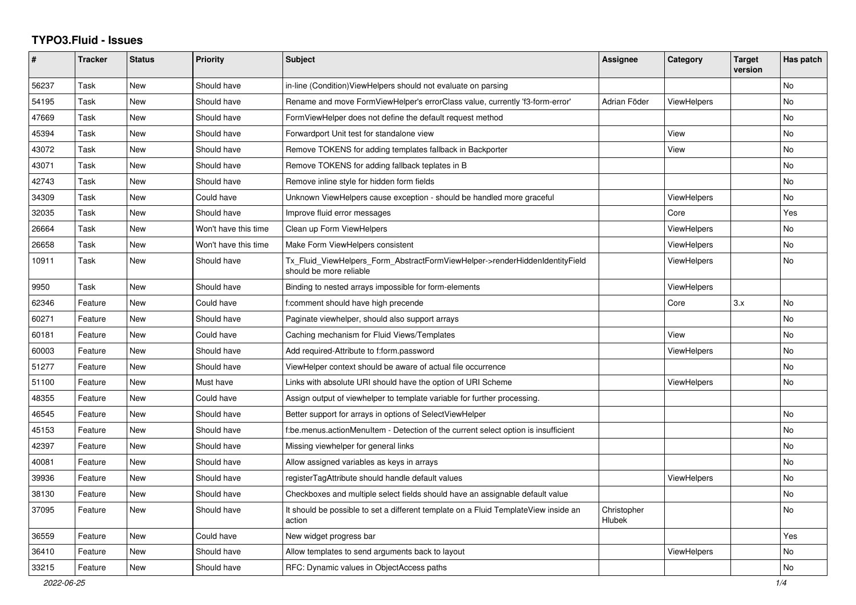## **TYPO3.Fluid - Issues**

| #     | Tracker | <b>Status</b> | <b>Priority</b>      | <b>Subject</b>                                                                                         | Assignee                     | Category           | <b>Target</b><br>version | Has patch      |
|-------|---------|---------------|----------------------|--------------------------------------------------------------------------------------------------------|------------------------------|--------------------|--------------------------|----------------|
| 56237 | Task    | New           | Should have          | in-line (Condition) View Helpers should not evaluate on parsing                                        |                              |                    |                          | N <sub>o</sub> |
| 54195 | Task    | <b>New</b>    | Should have          | Rename and move FormViewHelper's errorClass value, currently 'f3-form-error'                           | Adrian Föder                 | <b>ViewHelpers</b> |                          | No             |
| 47669 | Task    | <b>New</b>    | Should have          | FormViewHelper does not define the default request method                                              |                              |                    |                          | No             |
| 45394 | Task    | <b>New</b>    | Should have          | Forwardport Unit test for standalone view                                                              |                              | View               |                          | No.            |
| 43072 | Task    | New           | Should have          | Remove TOKENS for adding templates fallback in Backporter                                              |                              | View               |                          | No             |
| 43071 | Task    | <b>New</b>    | Should have          | Remove TOKENS for adding fallback teplates in B                                                        |                              |                    |                          | No.            |
| 42743 | Task    | <b>New</b>    | Should have          | Remove inline style for hidden form fields                                                             |                              |                    |                          | No             |
| 34309 | Task    | <b>New</b>    | Could have           | Unknown ViewHelpers cause exception - should be handled more graceful                                  |                              | ViewHelpers        |                          | No             |
| 32035 | Task    | <b>New</b>    | Should have          | Improve fluid error messages                                                                           |                              | Core               |                          | Yes            |
| 26664 | Task    | New           | Won't have this time | Clean up Form ViewHelpers                                                                              |                              | ViewHelpers        |                          | No             |
| 26658 | Task    | New           | Won't have this time | Make Form ViewHelpers consistent                                                                       |                              | <b>ViewHelpers</b> |                          | No             |
| 10911 | Task    | New           | Should have          | Tx Fluid ViewHelpers Form AbstractFormViewHelper->renderHiddenIdentityField<br>should be more reliable |                              | <b>ViewHelpers</b> |                          | No             |
| 9950  | Task    | New           | Should have          | Binding to nested arrays impossible for form-elements                                                  |                              | <b>ViewHelpers</b> |                          |                |
| 62346 | Feature | New           | Could have           | f:comment should have high precende                                                                    |                              | Core               | 3.x                      | No             |
| 60271 | Feature | <b>New</b>    | Should have          | Paginate viewhelper, should also support arrays                                                        |                              |                    |                          | No             |
| 60181 | Feature | <b>New</b>    | Could have           | Caching mechanism for Fluid Views/Templates                                                            |                              | View               |                          | No             |
| 60003 | Feature | <b>New</b>    | Should have          | Add required-Attribute to f:form.password                                                              |                              | ViewHelpers        |                          | No             |
| 51277 | Feature | <b>New</b>    | Should have          | ViewHelper context should be aware of actual file occurrence                                           |                              |                    |                          | No             |
| 51100 | Feature | New           | Must have            | Links with absolute URI should have the option of URI Scheme                                           |                              | <b>ViewHelpers</b> |                          | No.            |
| 48355 | Feature | New           | Could have           | Assign output of viewhelper to template variable for further processing.                               |                              |                    |                          |                |
| 46545 | Feature | New           | Should have          | Better support for arrays in options of SelectViewHelper                                               |                              |                    |                          | No             |
| 45153 | Feature | <b>New</b>    | Should have          | f:be.menus.actionMenuItem - Detection of the current select option is insufficient                     |                              |                    |                          | No             |
| 42397 | Feature | <b>New</b>    | Should have          | Missing viewhelper for general links                                                                   |                              |                    |                          | No             |
| 40081 | Feature | New           | Should have          | Allow assigned variables as keys in arrays                                                             |                              |                    |                          | No             |
| 39936 | Feature | <b>New</b>    | Should have          | registerTagAttribute should handle default values                                                      |                              | <b>ViewHelpers</b> |                          | No             |
| 38130 | Feature | <b>New</b>    | Should have          | Checkboxes and multiple select fields should have an assignable default value                          |                              |                    |                          | No             |
| 37095 | Feature | <b>New</b>    | Should have          | It should be possible to set a different template on a Fluid TemplateView inside an<br>action          | Christopher<br><b>Hlubek</b> |                    |                          | No             |
| 36559 | Feature | <b>New</b>    | Could have           | New widget progress bar                                                                                |                              |                    |                          | Yes            |
| 36410 | Feature | New           | Should have          | Allow templates to send arguments back to layout                                                       |                              | ViewHelpers        |                          | No             |
| 33215 | Feature | New           | Should have          | RFC: Dynamic values in ObjectAccess paths                                                              |                              |                    |                          | No             |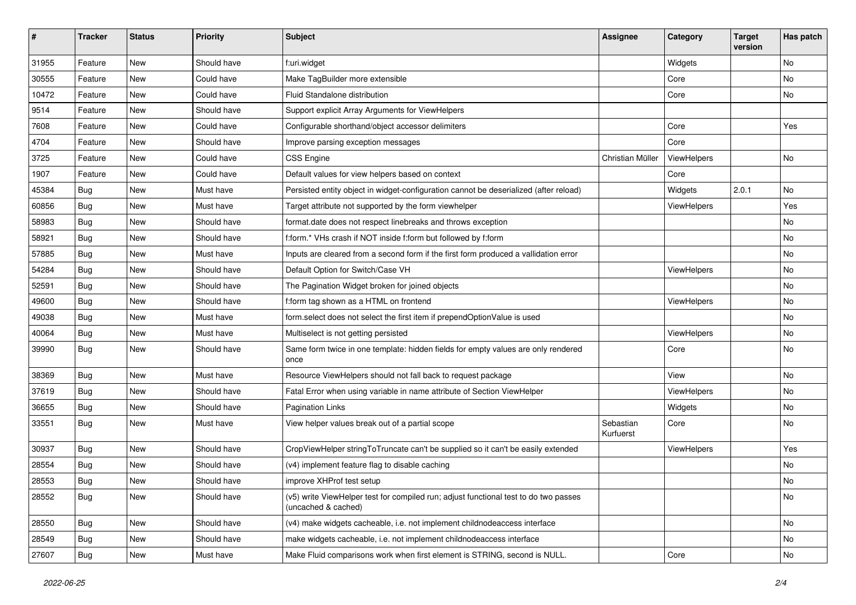| #     | <b>Tracker</b> | <b>Status</b> | <b>Priority</b> | Subject                                                                                                     | <b>Assignee</b>        | Category    | <b>Target</b><br>version | Has patch |
|-------|----------------|---------------|-----------------|-------------------------------------------------------------------------------------------------------------|------------------------|-------------|--------------------------|-----------|
| 31955 | Feature        | New           | Should have     | f:uri.widget                                                                                                |                        | Widgets     |                          | No        |
| 30555 | Feature        | New           | Could have      | Make TagBuilder more extensible                                                                             |                        | Core        |                          | No        |
| 10472 | Feature        | New           | Could have      | Fluid Standalone distribution                                                                               |                        | Core        |                          | No        |
| 9514  | Feature        | New           | Should have     | Support explicit Array Arguments for ViewHelpers                                                            |                        |             |                          |           |
| 7608  | Feature        | New           | Could have      | Configurable shorthand/object accessor delimiters                                                           |                        | Core        |                          | Yes       |
| 4704  | Feature        | New           | Should have     | Improve parsing exception messages                                                                          |                        | Core        |                          |           |
| 3725  | Feature        | New           | Could have      | <b>CSS Engine</b>                                                                                           | Christian Müller       | ViewHelpers |                          | No        |
| 1907  | Feature        | New           | Could have      | Default values for view helpers based on context                                                            |                        | Core        |                          |           |
| 45384 | Bug            | New           | Must have       | Persisted entity object in widget-configuration cannot be deserialized (after reload)                       |                        | Widgets     | 2.0.1                    | No        |
| 60856 | <b>Bug</b>     | New           | Must have       | Target attribute not supported by the form viewhelper                                                       |                        | ViewHelpers |                          | Yes       |
| 58983 | <b>Bug</b>     | New           | Should have     | format.date does not respect linebreaks and throws exception                                                |                        |             |                          | No        |
| 58921 | <b>Bug</b>     | New           | Should have     | f:form.* VHs crash if NOT inside f:form but followed by f:form                                              |                        |             |                          | No        |
| 57885 | Bug            | New           | Must have       | Inputs are cleared from a second form if the first form produced a vallidation error                        |                        |             |                          | No        |
| 54284 | Bug            | New           | Should have     | Default Option for Switch/Case VH                                                                           |                        | ViewHelpers |                          | No        |
| 52591 | <b>Bug</b>     | New           | Should have     | The Pagination Widget broken for joined objects                                                             |                        |             |                          | No        |
| 49600 | <b>Bug</b>     | New           | Should have     | f:form tag shown as a HTML on frontend                                                                      |                        | ViewHelpers |                          | No.       |
| 49038 | <b>Bug</b>     | New           | Must have       | form.select does not select the first item if prependOptionValue is used                                    |                        |             |                          | No        |
| 40064 | <b>Bug</b>     | New           | Must have       | Multiselect is not getting persisted                                                                        |                        | ViewHelpers |                          | No        |
| 39990 | Bug            | New           | Should have     | Same form twice in one template: hidden fields for empty values are only rendered<br>once                   |                        | Core        |                          | No        |
| 38369 | Bug            | New           | Must have       | Resource ViewHelpers should not fall back to request package                                                |                        | View        |                          | No        |
| 37619 | Bug            | New           | Should have     | Fatal Error when using variable in name attribute of Section ViewHelper                                     |                        | ViewHelpers |                          | No        |
| 36655 | <b>Bug</b>     | New           | Should have     | <b>Pagination Links</b>                                                                                     |                        | Widgets     |                          | No        |
| 33551 | <b>Bug</b>     | New           | Must have       | View helper values break out of a partial scope                                                             | Sebastian<br>Kurfuerst | Core        |                          | No        |
| 30937 | <b>Bug</b>     | New           | Should have     | CropViewHelper stringToTruncate can't be supplied so it can't be easily extended                            |                        | ViewHelpers |                          | Yes       |
| 28554 | <b>Bug</b>     | New           | Should have     | (v4) implement feature flag to disable caching                                                              |                        |             |                          | No        |
| 28553 | Bug            | New           | Should have     | improve XHProf test setup                                                                                   |                        |             |                          | No        |
| 28552 | <b>Bug</b>     | New           | Should have     | (v5) write ViewHelper test for compiled run; adjust functional test to do two passes<br>(uncached & cached) |                        |             |                          | No        |
| 28550 | Bug            | New           | Should have     | (v4) make widgets cacheable, i.e. not implement childnodeaccess interface                                   |                        |             |                          | No        |
| 28549 | Bug            | New           | Should have     | make widgets cacheable, i.e. not implement childnodeaccess interface                                        |                        |             |                          | No        |
| 27607 | <b>Bug</b>     | New           | Must have       | Make Fluid comparisons work when first element is STRING, second is NULL.                                   |                        | Core        |                          | No        |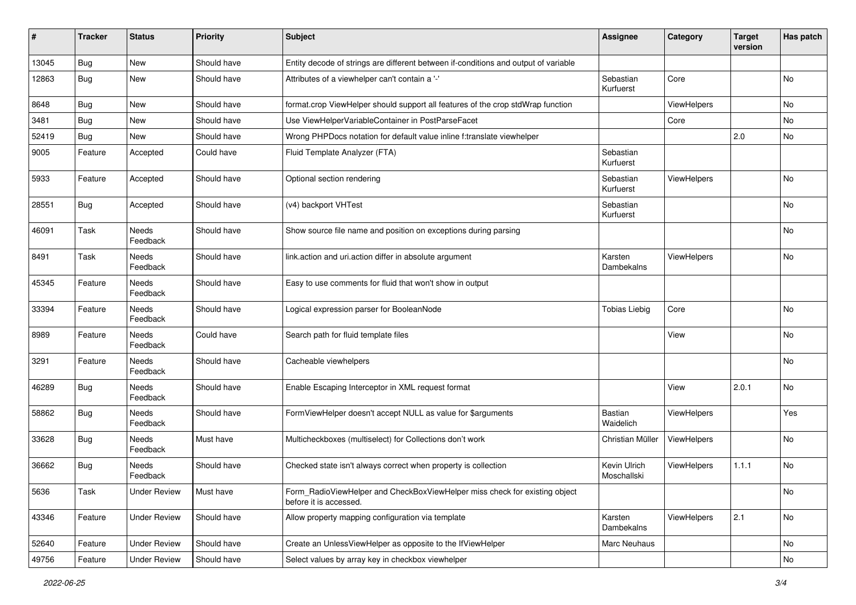| #     | <b>Tracker</b> | <b>Status</b>       | <b>Priority</b> | <b>Subject</b>                                                                                       | <b>Assignee</b>             | Category    | <b>Target</b><br>version | Has patch |
|-------|----------------|---------------------|-----------------|------------------------------------------------------------------------------------------------------|-----------------------------|-------------|--------------------------|-----------|
| 13045 | Bug            | New                 | Should have     | Entity decode of strings are different between if-conditions and output of variable                  |                             |             |                          |           |
| 12863 | Bug            | New                 | Should have     | Attributes of a viewhelper can't contain a '-'                                                       | Sebastian<br>Kurfuerst      | Core        |                          | No        |
| 8648  | <b>Bug</b>     | New                 | Should have     | format.crop ViewHelper should support all features of the crop stdWrap function                      |                             | ViewHelpers |                          | <b>No</b> |
| 3481  | Bug            | New                 | Should have     | Use ViewHelperVariableContainer in PostParseFacet                                                    |                             | Core        |                          | No        |
| 52419 | Bug            | New                 | Should have     | Wrong PHPDocs notation for default value inline f:translate viewhelper                               |                             |             | 2.0                      | <b>No</b> |
| 9005  | Feature        | Accepted            | Could have      | Fluid Template Analyzer (FTA)                                                                        | Sebastian<br>Kurfuerst      |             |                          |           |
| 5933  | Feature        | Accepted            | Should have     | Optional section rendering                                                                           | Sebastian<br>Kurfuerst      | ViewHelpers |                          | No        |
| 28551 | <b>Bug</b>     | Accepted            | Should have     | (v4) backport VHTest                                                                                 | Sebastian<br>Kurfuerst      |             |                          | No        |
| 46091 | Task           | Needs<br>Feedback   | Should have     | Show source file name and position on exceptions during parsing                                      |                             |             |                          | No        |
| 8491  | Task           | Needs<br>Feedback   | Should have     | link.action and uri.action differ in absolute argument                                               | Karsten<br>Dambekalns       | ViewHelpers |                          | <b>No</b> |
| 45345 | Feature        | Needs<br>Feedback   | Should have     | Easy to use comments for fluid that won't show in output                                             |                             |             |                          |           |
| 33394 | Feature        | Needs<br>Feedback   | Should have     | Logical expression parser for BooleanNode                                                            | <b>Tobias Liebig</b>        | Core        |                          | <b>No</b> |
| 8989  | Feature        | Needs<br>Feedback   | Could have      | Search path for fluid template files                                                                 |                             | View        |                          | No        |
| 3291  | Feature        | Needs<br>Feedback   | Should have     | Cacheable viewhelpers                                                                                |                             |             |                          | No        |
| 46289 | Bug            | Needs<br>Feedback   | Should have     | Enable Escaping Interceptor in XML request format                                                    |                             | View        | 2.0.1                    | No        |
| 58862 | Bug            | Needs<br>Feedback   | Should have     | FormViewHelper doesn't accept NULL as value for \$arguments                                          | Bastian<br>Waidelich        | ViewHelpers |                          | Yes       |
| 33628 | Bug            | Needs<br>Feedback   | Must have       | Multicheckboxes (multiselect) for Collections don't work                                             | Christian Müller            | ViewHelpers |                          | No        |
| 36662 | Bug            | Needs<br>Feedback   | Should have     | Checked state isn't always correct when property is collection                                       | Kevin Ulrich<br>Moschallski | ViewHelpers | 1.1.1                    | No        |
| 5636  | Task           | <b>Under Review</b> | Must have       | Form_RadioViewHelper and CheckBoxViewHelper miss check for existing object<br>before it is accessed. |                             |             |                          | No        |
| 43346 | Feature        | <b>Under Review</b> | Should have     | Allow property mapping configuration via template                                                    | Karsten<br>Dambekalns       | ViewHelpers | 2.1                      | No        |
| 52640 | Feature        | <b>Under Review</b> | Should have     | Create an UnlessViewHelper as opposite to the IfViewHelper                                           | Marc Neuhaus                |             |                          | No        |
| 49756 | Feature        | <b>Under Review</b> | Should have     | Select values by array key in checkbox viewhelper                                                    |                             |             |                          | No        |